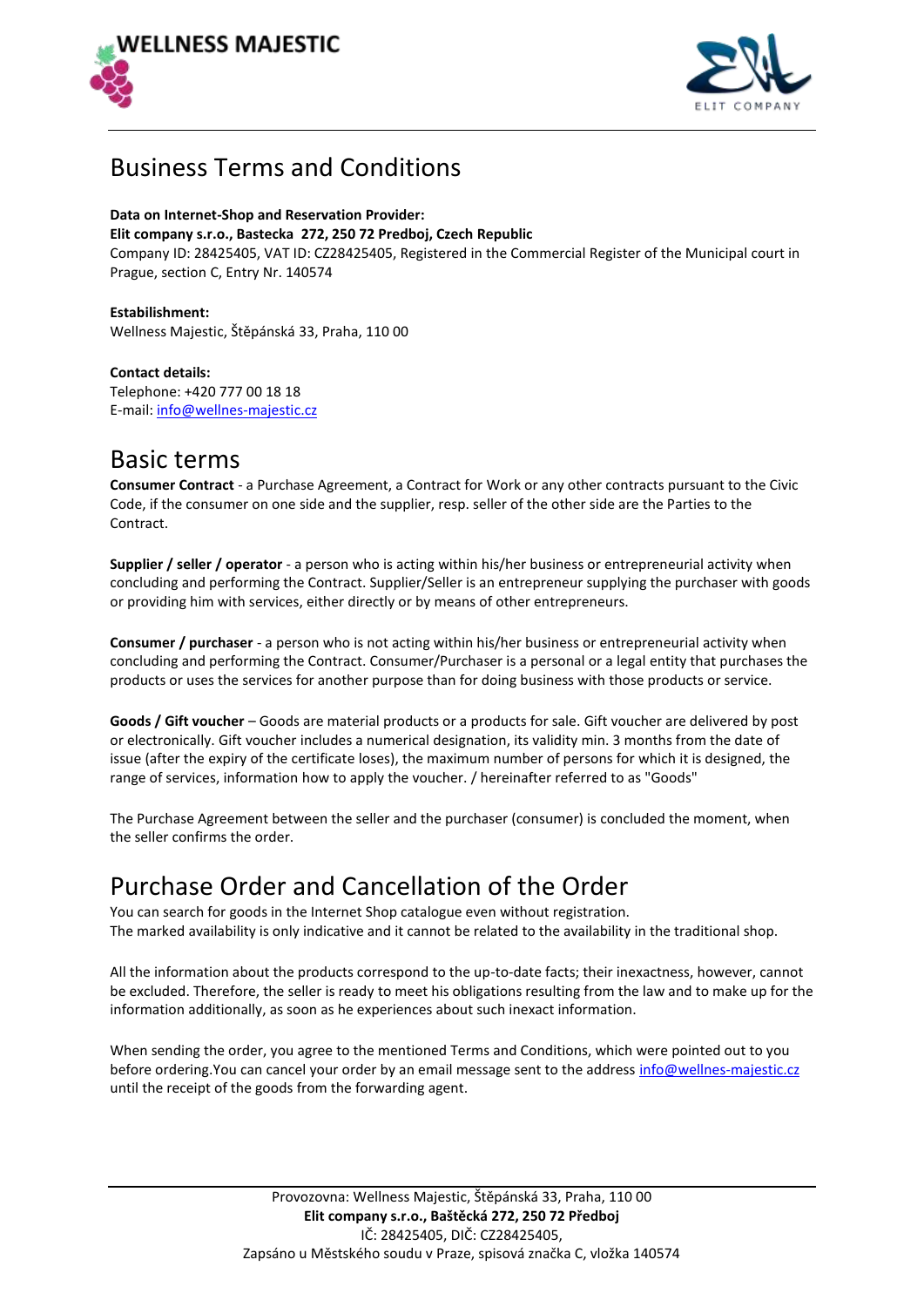



## Business Terms and Conditions

### **Data on Internet-Shop and Reservation Provider:**

#### **Elit company s.r.o., Bastecka 272, 250 72 Predboj, Czech Republic**

Company ID: 28425405, VAT ID: CZ28425405, Registered in the Commercial Register of the Municipal court in Prague, section C, Entry Nr. 140574

**Estabilishment:** Wellness Majestic, Štěpánská 33, Praha, 110 00

**Contact details:** Telephone: +420 777 00 18 18 E-mail: info@wellnes-majestic.cz

### Basic terms

**Consumer Contract** - a Purchase Agreement, a Contract for Work or any other contracts pursuant to the Civic Code, if the consumer on one side and the supplier, resp. seller of the other side are the Parties to the Contract.

**Supplier / seller / operator** - a person who is acting within his/her business or entrepreneurial activity when concluding and performing the Contract. Supplier/Seller is an entrepreneur supplying the purchaser with goods or providing him with services, either directly or by means of other entrepreneurs.

**Consumer / purchaser** - a person who is not acting within his/her business or entrepreneurial activity when concluding and performing the Contract. Consumer/Purchaser is a personal or a legal entity that purchases the products or uses the services for another purpose than for doing business with those products or service.

**Goods / Gift voucher** – Goods are material products or a products for sale. Gift voucher are delivered by post or electronically. Gift voucher includes a numerical designation, its validity min. 3 months from the date of issue (after the expiry of the certificate loses), the maximum number of persons for which it is designed, the range of services, information how to apply the voucher. / hereinafter referred to as "Goods"

The Purchase Agreement between the seller and the purchaser (consumer) is concluded the moment, when the seller confirms the order.

## Purchase Order and Cancellation of the Order

You can search for goods in the Internet Shop catalogue even without registration. The marked availability is only indicative and it cannot be related to the availability in the traditional shop.

All the information about the products correspond to the up-to-date facts; their inexactness, however, cannot be excluded. Therefore, the seller is ready to meet his obligations resulting from the law and to make up for the information additionally, as soon as he experiences about such inexact information.

When sending the order, you agree to the mentioned Terms and Conditions, which were pointed out to you before ordering. You can cancel your order by an email message sent to the address info@wellnes-majestic.cz until the receipt of the goods from the forwarding agent.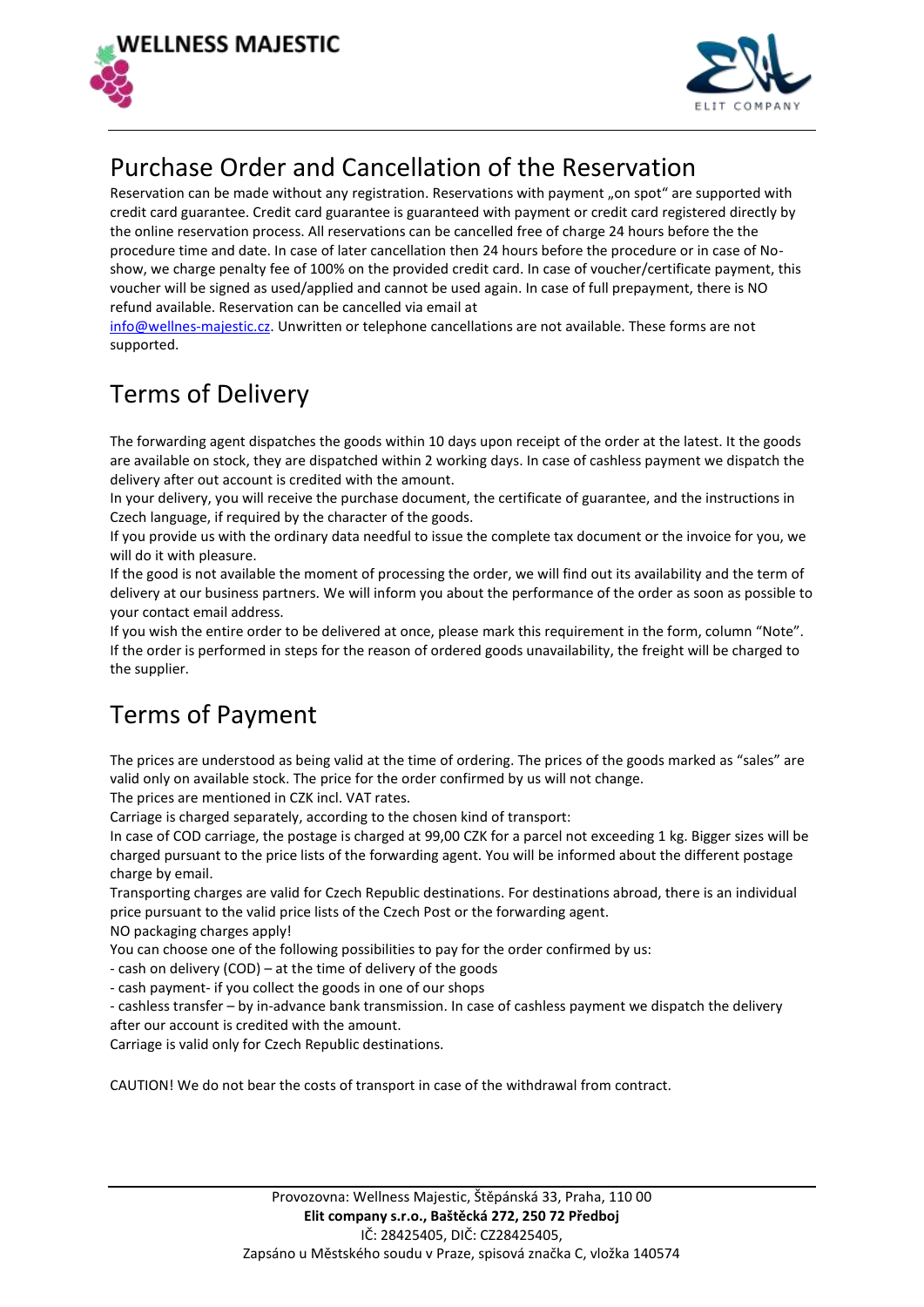



## Purchase Order and Cancellation of the Reservation

Reservation can be made without any registration. Reservations with payment "on spot" are supported with credit card guarantee. Credit card guarantee is guaranteed with payment or credit card registered directly by the online reservation process. All reservations can be cancelled free of charge 24 hours before the the procedure time and date. In case of later cancellation then 24 hours before the procedure or in case of Noshow, we charge penalty fee of 100% on the provided credit card. In case of voucher/certificate payment, this voucher will be signed as used/applied and cannot be used again. In case of full prepayment, there is NO refund available. Reservation can be cancelled via email at

info@wellnes-majestic.cz. Unwritten or telephone cancellations are not available. These forms are not supported.

# Terms of Delivery

The forwarding agent dispatches the goods within 10 days upon receipt of the order at the latest. It the goods are available on stock, they are dispatched within 2 working days. In case of cashless payment we dispatch the delivery after out account is credited with the amount.

In your delivery, you will receive the purchase document, the certificate of guarantee, and the instructions in Czech language, if required by the character of the goods.

If you provide us with the ordinary data needful to issue the complete tax document or the invoice for you, we will do it with pleasure.

If the good is not available the moment of processing the order, we will find out its availability and the term of delivery at our business partners. We will inform you about the performance of the order as soon as possible to your contact email address.

If you wish the entire order to be delivered at once, please mark this requirement in the form, column "Note". If the order is performed in steps for the reason of ordered goods unavailability, the freight will be charged to the supplier.

# Terms of Payment

The prices are understood as being valid at the time of ordering. The prices of the goods marked as "sales" are valid only on available stock. The price for the order confirmed by us will not change.

The prices are mentioned in CZK incl. VAT rates.

Carriage is charged separately, according to the chosen kind of transport:

In case of COD carriage, the postage is charged at 99,00 CZK for a parcel not exceeding 1 kg. Bigger sizes will be charged pursuant to the price lists of the forwarding agent. You will be informed about the different postage charge by email.

Transporting charges are valid for Czech Republic destinations. For destinations abroad, there is an individual price pursuant to the valid price lists of the Czech Post or the forwarding agent.

NO packaging charges apply!

You can choose one of the following possibilities to pay for the order confirmed by us:

- cash on delivery (COD) – at the time of delivery of the goods

- cash payment- if you collect the goods in one of our shops

- cashless transfer – by in-advance bank transmission. In case of cashless payment we dispatch the delivery after our account is credited with the amount.

Carriage is valid only for Czech Republic destinations.

CAUTION! We do not bear the costs of transport in case of the withdrawal from contract.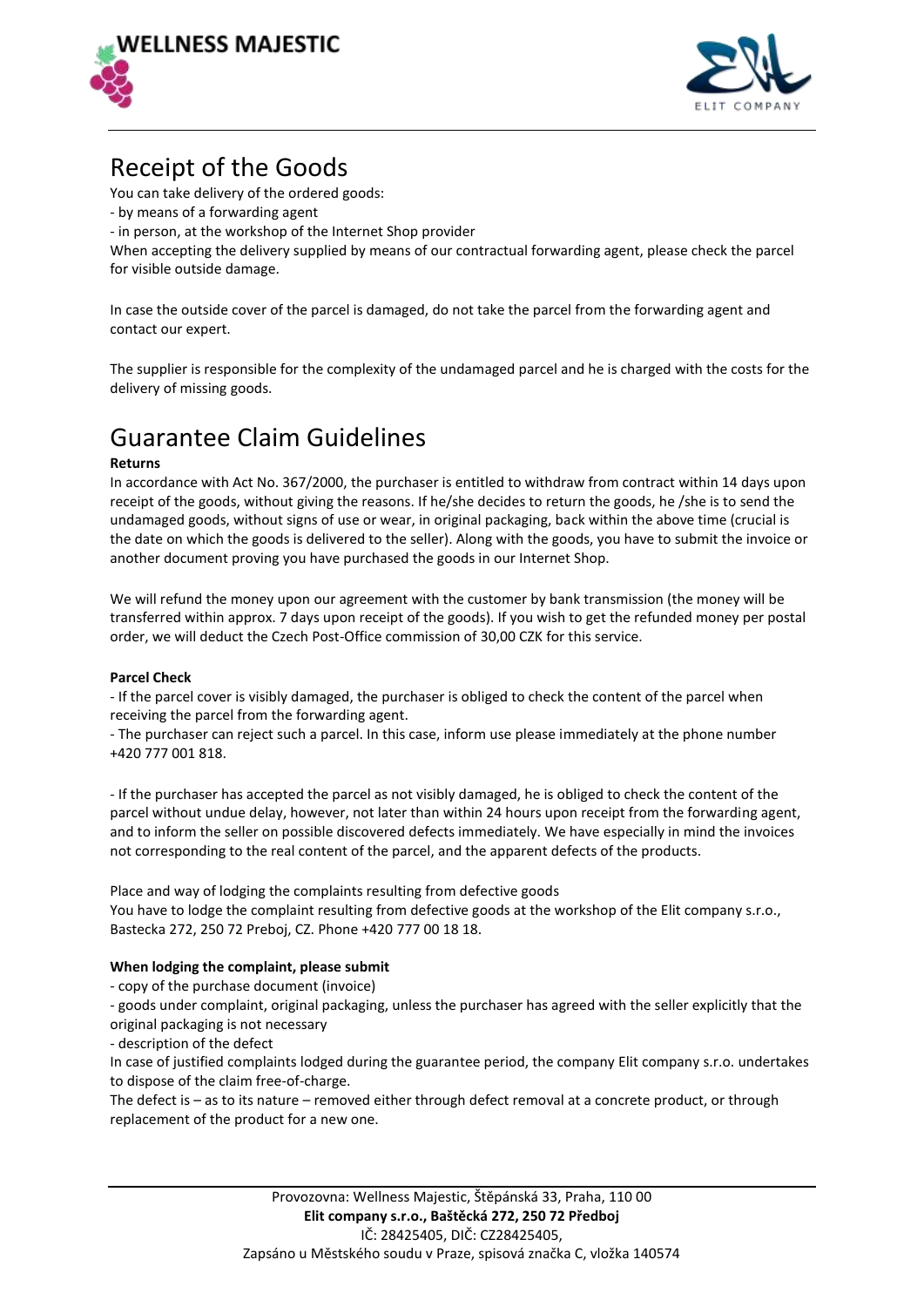



## Receipt of the Goods

You can take delivery of the ordered goods:

- by means of a forwarding agent

- in person, at the workshop of the Internet Shop provider

When accepting the delivery supplied by means of our contractual forwarding agent, please check the parcel for visible outside damage.

In case the outside cover of the parcel is damaged, do not take the parcel from the forwarding agent and contact our expert.

The supplier is responsible for the complexity of the undamaged parcel and he is charged with the costs for the delivery of missing goods.

# Guarantee Claim Guidelines

### **Returns**

In accordance with Act No. 367/2000, the purchaser is entitled to withdraw from contract within 14 days upon receipt of the goods, without giving the reasons. If he/she decides to return the goods, he /she is to send the undamaged goods, without signs of use or wear, in original packaging, back within the above time (crucial is the date on which the goods is delivered to the seller). Along with the goods, you have to submit the invoice or another document proving you have purchased the goods in our Internet Shop.

We will refund the money upon our agreement with the customer by bank transmission (the money will be transferred within approx. 7 days upon receipt of the goods). If you wish to get the refunded money per postal order, we will deduct the Czech Post-Office commission of 30,00 CZK for this service.

### **Parcel Check**

- If the parcel cover is visibly damaged, the purchaser is obliged to check the content of the parcel when receiving the parcel from the forwarding agent.

- The purchaser can reject such a parcel. In this case, inform use please immediately at the phone number +420 777 001 818.

- If the purchaser has accepted the parcel as not visibly damaged, he is obliged to check the content of the parcel without undue delay, however, not later than within 24 hours upon receipt from the forwarding agent, and to inform the seller on possible discovered defects immediately. We have especially in mind the invoices not corresponding to the real content of the parcel, and the apparent defects of the products.

Place and way of lodging the complaints resulting from defective goods

You have to lodge the complaint resulting from defective goods at the workshop of the Elit company s.r.o., Bastecka 272, 250 72 Preboj, CZ. Phone +420 777 00 18 18.

### **When lodging the complaint, please submit**

- copy of the purchase document (invoice)

- goods under complaint, original packaging, unless the purchaser has agreed with the seller explicitly that the original packaging is not necessary

- description of the defect

In case of justified complaints lodged during the guarantee period, the company Elit company s.r.o. undertakes to dispose of the claim free-of-charge.

The defect is – as to its nature – removed either through defect removal at a concrete product, or through replacement of the product for a new one.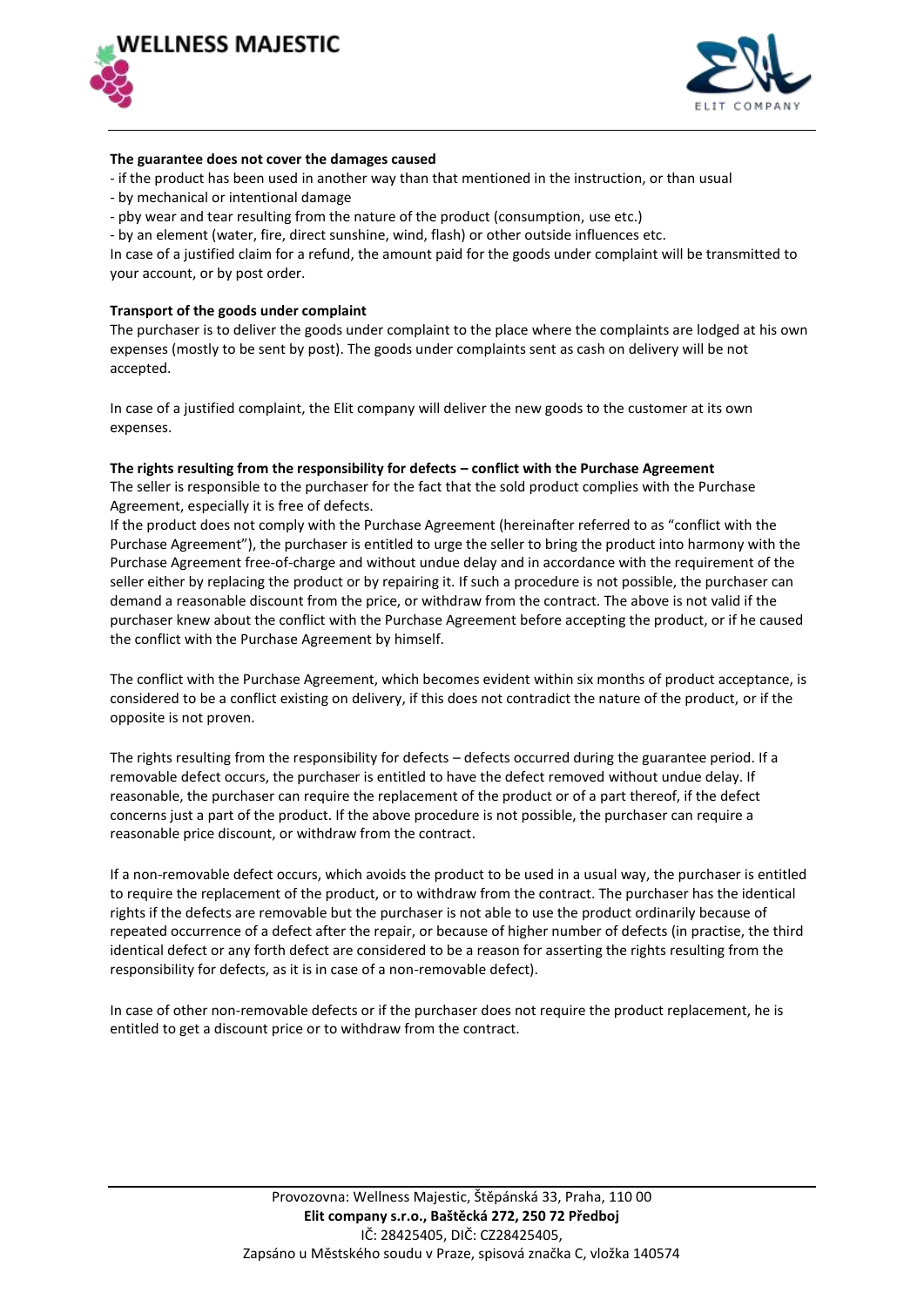



#### **The guarantee does not cover the damages caused**

- if the product has been used in another way than that mentioned in the instruction, or than usual
- by mechanical or intentional damage
- pby wear and tear resulting from the nature of the product (consumption, use etc.)
- by an element (water, fire, direct sunshine, wind, flash) or other outside influences etc.

In case of a justified claim for a refund, the amount paid for the goods under complaint will be transmitted to your account, or by post order.

#### **Transport of the goods under complaint**

The purchaser is to deliver the goods under complaint to the place where the complaints are lodged at his own expenses (mostly to be sent by post). The goods under complaints sent as cash on delivery will be not accepted.

In case of a justified complaint, the Elit company will deliver the new goods to the customer at its own expenses.

#### **The rights resulting from the responsibility for defects – conflict with the Purchase Agreement**

The seller is responsible to the purchaser for the fact that the sold product complies with the Purchase Agreement, especially it is free of defects.

If the product does not comply with the Purchase Agreement (hereinafter referred to as "conflict with the Purchase Agreement"), the purchaser is entitled to urge the seller to bring the product into harmony with the Purchase Agreement free-of-charge and without undue delay and in accordance with the requirement of the seller either by replacing the product or by repairing it. If such a procedure is not possible, the purchaser can demand a reasonable discount from the price, or withdraw from the contract. The above is not valid if the purchaser knew about the conflict with the Purchase Agreement before accepting the product, or if he caused the conflict with the Purchase Agreement by himself.

The conflict with the Purchase Agreement, which becomes evident within six months of product acceptance, is considered to be a conflict existing on delivery, if this does not contradict the nature of the product, or if the opposite is not proven.

The rights resulting from the responsibility for defects – defects occurred during the guarantee period. If a removable defect occurs, the purchaser is entitled to have the defect removed without undue delay. If reasonable, the purchaser can require the replacement of the product or of a part thereof, if the defect concerns just a part of the product. If the above procedure is not possible, the purchaser can require a reasonable price discount, or withdraw from the contract.

If a non-removable defect occurs, which avoids the product to be used in a usual way, the purchaser is entitled to require the replacement of the product, or to withdraw from the contract. The purchaser has the identical rights if the defects are removable but the purchaser is not able to use the product ordinarily because of repeated occurrence of a defect after the repair, or because of higher number of defects (in practise, the third identical defect or any forth defect are considered to be a reason for asserting the rights resulting from the responsibility for defects, as it is in case of a non-removable defect).

In case of other non-removable defects or if the purchaser does not require the product replacement, he is entitled to get a discount price or to withdraw from the contract.